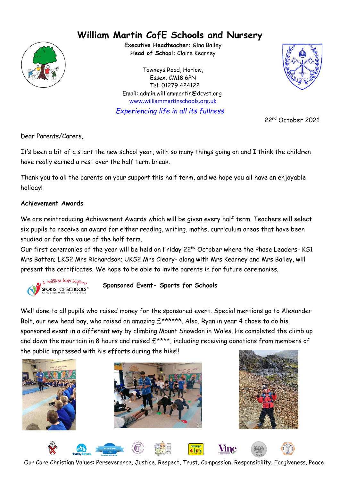# **William Martin CofE Schools and Nursery**



**Executive Headteacher:** Gina Bailey **Head of School:** Claire Kearney

Tawneys Road, Harlow, Essex. CM18 6PN Tel: 01279 424122 Email: admin.williammartin@dcvst.org www.williammartinschools.org.uk



*Experiencing life in all its fullness*

22nd October 2021

Dear Parents/Carers,

It's been a bit of a start the new school year, with so many things going on and I think the children have really earned a rest over the half term break.

Thank you to all the parents on your support this half term, and we hope you all have an enjoyable holiday!

## **Achievement Awards**

We are reintroducing Achievement Awards which will be given every half term. Teachers will select six pupils to receive an award for either reading, writing, maths, curriculum areas that have been studied or for the value of the half term.

Our first ceremonies of the year will be held on Friday 22<sup>nd</sup> October where the Phase Leaders- KS1 Mrs Batten; LKS2 Mrs Richardson; UKS2 Mrs Cleary- along with Mrs Kearney and Mrs Bailey, will present the certificates. We hope to be able to invite parents in for future ceremonies.



## **Sponsored Event- Sports for Schools**

Well done to all pupils who raised money for the sponsored event. Special mentions go to Alexander Bolt, our new head boy, who raised an amazing  $E^{*****}$ . Also, Ryan in year 4 chose to do his sponsored event in a different way by climbing Mount Snowdon in Wales. He completed the climb up and down the mountain in 8 hours and raised  $E^{***}$ , including receiving donations from members of the public impressed with his efforts during the hike!!







**Vine** 

Our Core Christian Values: Perseverance, Justice, Respect, Trust, Compassion, Responsibility, Forgiveness, Peace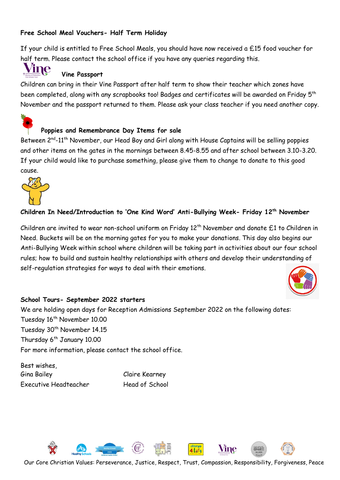## **Free School Meal Vouchers- Half Term Holiday**

If your child is entitled to Free School Meals, you should have now received a £15 food voucher for half term. Please contact the school office if you have any queries regarding this.



#### **Vine Passport**

Children can bring in their Vine Passport after half term to show their teacher which zones have been completed, along with any scrapbooks too! Badges and certificates will be awarded on Friday  $5^{\rm th}$ November and the passport returned to them. Please ask your class teacher if you need another copy.



#### **Poppies and Remembrance Day Items for sale**

Between 2<sup>nd</sup>-11<sup>th</sup> November, our Head Boy and Girl along with House Captains will be selling poppies and other items on the gates in the mornings between 8.45-8.55 and after school between 3.10-3.20. If your child would like to purchase something, please give them to change to donate to this good cause.



#### **Children In Need/Introduction to 'One Kind Word' Anti-Bullying Week- Friday 12th November**

Children are invited to wear non-school uniform on Friday 12th November and donate £1 to Children in Need. Buckets will be on the morning gates for you to make your donations. This day also begins our Anti-Bullying Week within school where children will be taking part in activities about our four school rules; how to build and sustain healthy relationships with others and develop their understanding of self-regulation strategies for ways to deal with their emotions.



#### **School Tours- September 2022 starters**

We are holding open days for Reception Admissions September 2022 on the following dates: Tuesday 16<sup>th</sup> November 10.00 Tuesday 30<sup>th</sup> November 14.15 Thursday 6<sup>th</sup> January 10.00 For more information, please contact the school office.

Best wishes, Gina Bailey Claire Kearney Executive Headteacher Head of School



Our Core Christian Values: Perseverance, Justice, Respect, Trust, Compassion, Responsibility, Forgiveness, Peace